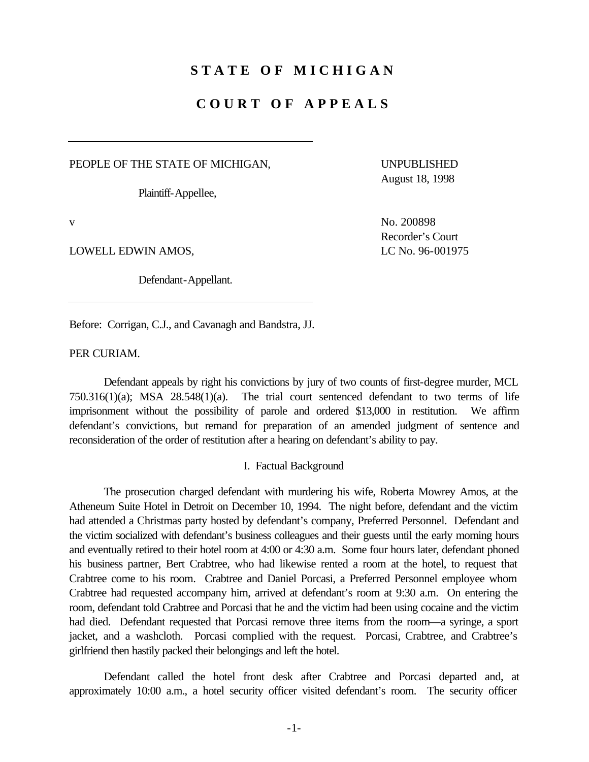## **STATE OF MICHIGAN**

# **COURT OF APPEALS**

PEOPLE OF THE STATE OF MICHIGAN, THE UNPUBLISHED

Plaintiff-Appellee,

LOWELL EDWIN AMOS, LOWELL EDWIN AMOS,

Defendant-Appellant.

Before: Corrigan, C.J., and Cavanagh and Bandstra, JJ.

PER CURIAM.

Defendant appeals by right his convictions by jury of two counts of first-degree murder, MCL 750.316(1)(a); MSA 28.548(1)(a). The trial court sentenced defendant to two terms of life imprisonment without the possibility of parole and ordered \$13,000 in restitution. We affirm defendant's convictions, but remand for preparation of an amended judgment of sentence and reconsideration of the order of restitution after a hearing on defendant's ability to pay.

I. Factual Background

The prosecution charged defendant with murdering his wife, Roberta Mowrey Amos, at the Atheneum Suite Hotel in Detroit on December 10, 1994. The night before, defendant and the victim had attended a Christmas party hosted by defendant's company, Preferred Personnel. Defendant and the victim socialized with defendant's business colleagues and their guests until the early morning hours and eventually retired to their hotel room at 4:00 or 4:30 a.m. Some four hours later, defendant phoned his business partner, Bert Crabtree, who had likewise rented a room at the hotel, to request that Crabtree come to his room. Crabtree and Daniel Porcasi, a Preferred Personnel employee whom Crabtree had requested accompany him, arrived at defendant's room at 9:30 a.m. On entering the room, defendant told Crabtree and Porcasi that he and the victim had been using cocaine and the victim had died. Defendant requested that Porcasi remove three items from the room—a syringe, a sport jacket, and a washcloth. Porcasi complied with the request. Porcasi, Crabtree, and Crabtree's girlfriend then hastily packed their belongings and left the hotel.

Defendant called the hotel front desk after Crabtree and Porcasi departed and, at approximately 10:00 a.m., a hotel security officer visited defendant's room. The security officer

August 18, 1998

v No. 200898 Recorder's Court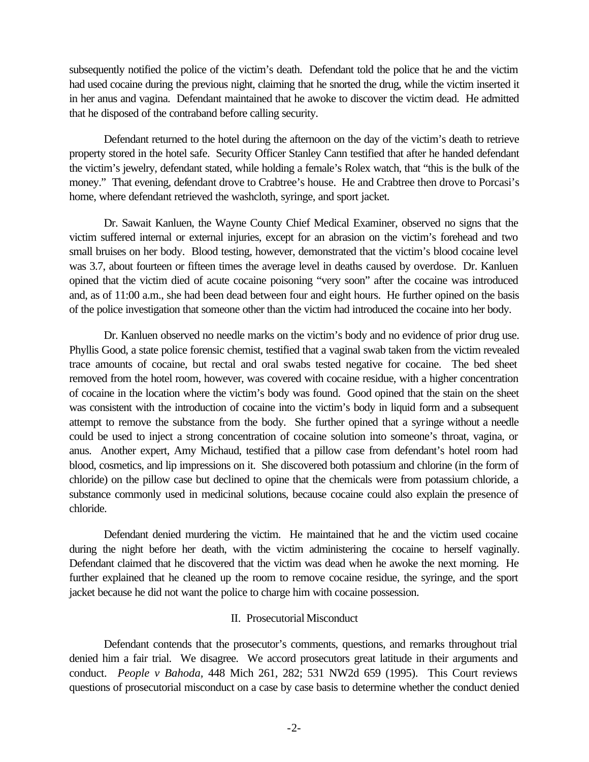subsequently notified the police of the victim's death. Defendant told the police that he and the victim had used cocaine during the previous night, claiming that he snorted the drug, while the victim inserted it in her anus and vagina. Defendant maintained that he awoke to discover the victim dead. He admitted that he disposed of the contraband before calling security.

Defendant returned to the hotel during the afternoon on the day of the victim's death to retrieve property stored in the hotel safe. Security Officer Stanley Cann testified that after he handed defendant the victim's jewelry, defendant stated, while holding a female's Rolex watch, that "this is the bulk of the money." That evening, defendant drove to Crabtree's house. He and Crabtree then drove to Porcasi's home, where defendant retrieved the washcloth, syringe, and sport jacket.

Dr. Sawait Kanluen, the Wayne County Chief Medical Examiner, observed no signs that the victim suffered internal or external injuries, except for an abrasion on the victim's forehead and two small bruises on her body. Blood testing, however, demonstrated that the victim's blood cocaine level was 3.7, about fourteen or fifteen times the average level in deaths caused by overdose. Dr. Kanluen opined that the victim died of acute cocaine poisoning "very soon" after the cocaine was introduced and, as of 11:00 a.m., she had been dead between four and eight hours. He further opined on the basis of the police investigation that someone other than the victim had introduced the cocaine into her body.

Dr. Kanluen observed no needle marks on the victim's body and no evidence of prior drug use. Phyllis Good, a state police forensic chemist, testified that a vaginal swab taken from the victim revealed trace amounts of cocaine, but rectal and oral swabs tested negative for cocaine. The bed sheet removed from the hotel room, however, was covered with cocaine residue, with a higher concentration of cocaine in the location where the victim's body was found. Good opined that the stain on the sheet was consistent with the introduction of cocaine into the victim's body in liquid form and a subsequent attempt to remove the substance from the body. She further opined that a syringe without a needle could be used to inject a strong concentration of cocaine solution into someone's throat, vagina, or anus. Another expert, Amy Michaud, testified that a pillow case from defendant's hotel room had blood, cosmetics, and lip impressions on it. She discovered both potassium and chlorine (in the form of chloride) on the pillow case but declined to opine that the chemicals were from potassium chloride, a substance commonly used in medicinal solutions, because cocaine could also explain the presence of chloride.

 during the night before her death, with the victim administering the cocaine to herself vaginally. Defendant claimed that he discovered that the victim was dead when he awoke the next morning. He Defendant denied murdering the victim. He maintained that he and the victim used cocaine further explained that he cleaned up the room to remove cocaine residue, the syringe, and the sport jacket because he did not want the police to charge him with cocaine possession.

## II. Prosecutorial Misconduct

Defendant contends that the prosecutor's comments, questions, and remarks throughout trial denied him a fair trial. We disagree. We accord prosecutors great latitude in their arguments and conduct. *People v Bahoda,* 448 Mich 261, 282; 531 NW2d 659 (1995). This Court reviews questions of prosecutorial misconduct on a case by case basis to determine whether the conduct denied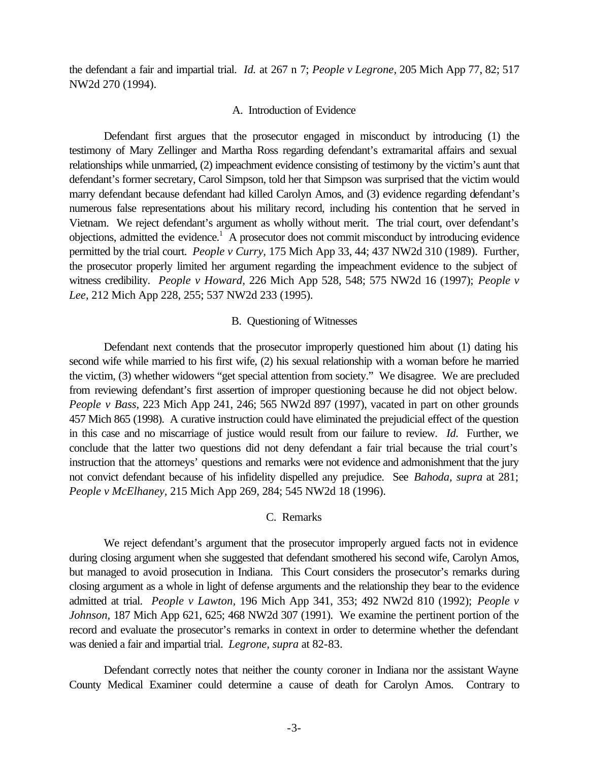the defendant a fair and impartial trial. *Id.* at 267 n 7; *People v Legrone,* 205 Mich App 77, 82; 517 NW2d 270 (1994).

#### A. Introduction of Evidence

Defendant first argues that the prosecutor engaged in misconduct by introducing (1) the testimony of Mary Zellinger and Martha Ross regarding defendant's extramarital affairs and sexual relationships while unmarried, (2) impeachment evidence consisting of testimony by the victim's aunt that defendant's former secretary, Carol Simpson, told her that Simpson was surprised that the victim would marry defendant because defendant had killed Carolyn Amos, and (3) evidence regarding defendant's numerous false representations about his military record, including his contention that he served in Vietnam. We reject defendant's argument as wholly without merit. The trial court, over defendant's objections, admitted the evidence.<sup>1</sup> A prosecutor does not commit misconduct by introducing evidence permitted by the trial court. *People v Curry,* 175 Mich App 33, 44; 437 NW2d 310 (1989). Further, the prosecutor properly limited her argument regarding the impeachment evidence to the subject of witness credibility. *People v Howard,* 226 Mich App 528, 548; 575 NW2d 16 (1997); *People v Lee,* 212 Mich App 228, 255; 537 NW2d 233 (1995).

### B. Questioning of Witnesses

Defendant next contends that the prosecutor improperly questioned him about (1) dating his second wife while married to his first wife, (2) his sexual relationship with a woman before he married the victim, (3) whether widowers "get special attention from society." We disagree. We are precluded from reviewing defendant's first assertion of improper questioning because he did not object below. *People v Bass,* 223 Mich App 241, 246; 565 NW2d 897 (1997), vacated in part on other grounds 457 Mich 865 (1998). A curative instruction could have eliminated the prejudicial effect of the question in this case and no miscarriage of justice would result from our failure to review. *Id.* Further, we conclude that the latter two questions did not deny defendant a fair trial because the trial court's instruction that the attorneys' questions and remarks were not evidence and admonishment that the jury not convict defendant because of his infidelity dispelled any prejudice. See *Bahoda, supra* at 281; *People v McElhaney,* 215 Mich App 269, 284; 545 NW2d 18 (1996).

#### C. Remarks

We reject defendant's argument that the prosecutor improperly argued facts not in evidence during closing argument when she suggested that defendant smothered his second wife, Carolyn Amos, but managed to avoid prosecution in Indiana. This Court considers the prosecutor's remarks during closing argument as a whole in light of defense arguments and the relationship they bear to the evidence admitted at trial. *People v Lawton,* 196 Mich App 341, 353; 492 NW2d 810 (1992); *People v Johnson,* 187 Mich App 621, 625; 468 NW2d 307 (1991). We examine the pertinent portion of the record and evaluate the prosecutor's remarks in context in order to determine whether the defendant was denied a fair and impartial trial. *Legrone, supra* at 82-83.

Defendant correctly notes that neither the county coroner in Indiana nor the assistant Wayne County Medical Examiner could determine a cause of death for Carolyn Amos. Contrary to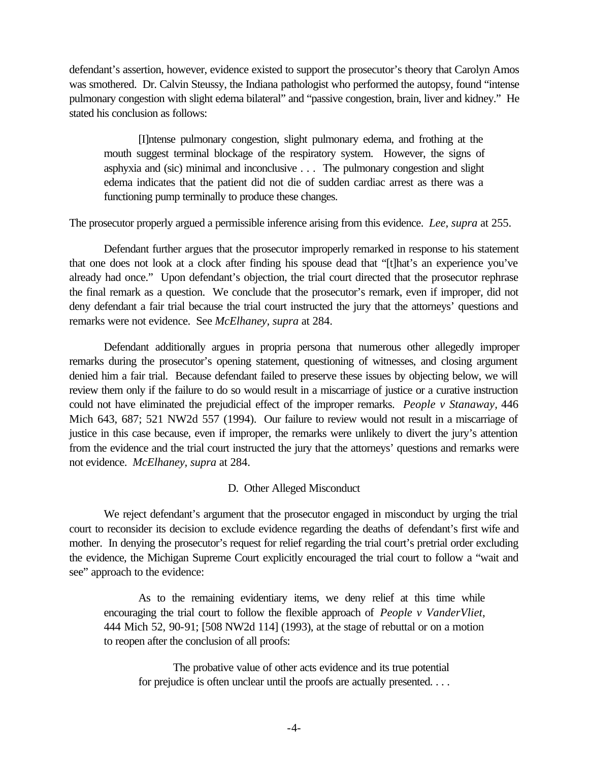defendant's assertion, however, evidence existed to support the prosecutor's theory that Carolyn Amos was smothered. Dr. Calvin Steussy, the Indiana pathologist who performed the autopsy, found "intense pulmonary congestion with slight edema bilateral" and "passive congestion, brain, liver and kidney." He stated his conclusion as follows:

[I]ntense pulmonary congestion, slight pulmonary edema, and frothing at the mouth suggest terminal blockage of the respiratory system. However, the signs of asphyxia and (sic) minimal and inconclusive . . . The pulmonary congestion and slight edema indicates that the patient did not die of sudden cardiac arrest as there was a functioning pump terminally to produce these changes.

The prosecutor properly argued a permissible inference arising from this evidence. *Lee, supra* at 255.

Defendant further argues that the prosecutor improperly remarked in response to his statement that one does not look at a clock after finding his spouse dead that "[t]hat's an experience you've already had once." Upon defendant's objection, the trial court directed that the prosecutor rephrase the final remark as a question. We conclude that the prosecutor's remark, even if improper, did not deny defendant a fair trial because the trial court instructed the jury that the attorneys' questions and remarks were not evidence. See *McElhaney, supra* at 284.

Defendant additionally argues in propria persona that numerous other allegedly improper remarks during the prosecutor's opening statement, questioning of witnesses, and closing argument denied him a fair trial. Because defendant failed to preserve these issues by objecting below, we will review them only if the failure to do so would result in a miscarriage of justice or a curative instruction could not have eliminated the prejudicial effect of the improper remarks. *People v Stanaway,* 446 Mich 643, 687; 521 NW2d 557 (1994). Our failure to review would not result in a miscarriage of justice in this case because, even if improper, the remarks were unlikely to divert the jury's attention from the evidence and the trial court instructed the jury that the attorneys' questions and remarks were not evidence. *McElhaney, supra* at 284.

## D. Other Alleged Misconduct

We reject defendant's argument that the prosecutor engaged in misconduct by urging the trial court to reconsider its decision to exclude evidence regarding the deaths of defendant's first wife and mother. In denying the prosecutor's request for relief regarding the trial court's pretrial order excluding the evidence, the Michigan Supreme Court explicitly encouraged the trial court to follow a "wait and see" approach to the evidence:

As to the remaining evidentiary items, we deny relief at this time while encouraging the trial court to follow the flexible approach of *People v VanderVliet,*  444 Mich 52, 90-91; [508 NW2d 114] (1993), at the stage of rebuttal or on a motion to reopen after the conclusion of all proofs:

The probative value of other acts evidence and its true potential for prejudice is often unclear until the proofs are actually presented. . . .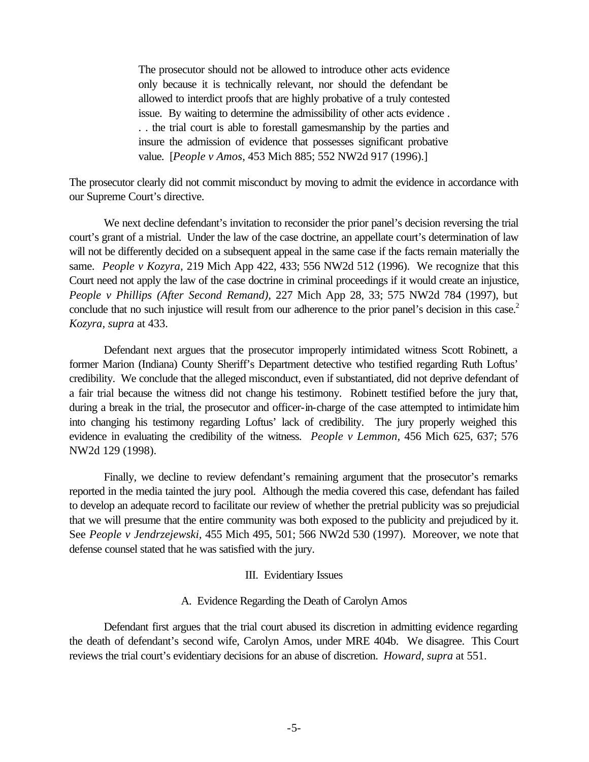The prosecutor should not be allowed to introduce other acts evidence only because it is technically relevant, nor should the defendant be allowed to interdict proofs that are highly probative of a truly contested issue. By waiting to determine the admissibility of other acts evidence . . . the trial court is able to forestall gamesmanship by the parties and insure the admission of evidence that possesses significant probative value. [*People v Amos*, 453 Mich 885; 552 NW2d 917 (1996).]

The prosecutor clearly did not commit misconduct by moving to admit the evidence in accordance with our Supreme Court's directive.

conclude that no such injustice will result from our adherence to the prior panel's decision in this case.<sup>2</sup> We next decline defendant's invitation to reconsider the prior panel's decision reversing the trial court's grant of a mistrial. Under the law of the case doctrine, an appellate court's determination of law will not be differently decided on a subsequent appeal in the same case if the facts remain materially the same. *People v Kozyra,* 219 Mich App 422, 433; 556 NW2d 512 (1996). We recognize that this Court need not apply the law of the case doctrine in criminal proceedings if it would create an injustice, *People v Phillips (After Second Remand),* 227 Mich App 28, 33; 575 NW2d 784 (1997), but *Kozyra, supra* at 433.

Defendant next argues that the prosecutor improperly intimidated witness Scott Robinett, a former Marion (Indiana) County Sheriff's Department detective who testified regarding Ruth Loftus' credibility. We conclude that the alleged misconduct, even if substantiated, did not deprive defendant of a fair trial because the witness did not change his testimony. Robinett testified before the jury that, during a break in the trial, the prosecutor and officer-in-charge of the case attempted to intimidate him into changing his testimony regarding Loftus' lack of credibility. The jury properly weighed this evidence in evaluating the credibility of the witness. *People v Lemmon,* 456 Mich 625, 637; 576 NW2d 129 (1998).

Finally, we decline to review defendant's remaining argument that the prosecutor's remarks reported in the media tainted the jury pool. Although the media covered this case, defendant has failed to develop an adequate record to facilitate our review of whether the pretrial publicity was so prejudicial that we will presume that the entire community was both exposed to the publicity and prejudiced by it. See *People v Jendrzejewski,* 455 Mich 495, 501; 566 NW2d 530 (1997). Moreover, we note that defense counsel stated that he was satisfied with the jury.

### III. Evidentiary Issues

### A. Evidence Regarding the Death of Carolyn Amos

Defendant first argues that the trial court abused its discretion in admitting evidence regarding the death of defendant's second wife, Carolyn Amos, under MRE 404b. We disagree. This Court reviews the trial court's evidentiary decisions for an abuse of discretion. *Howard, supra* at 551.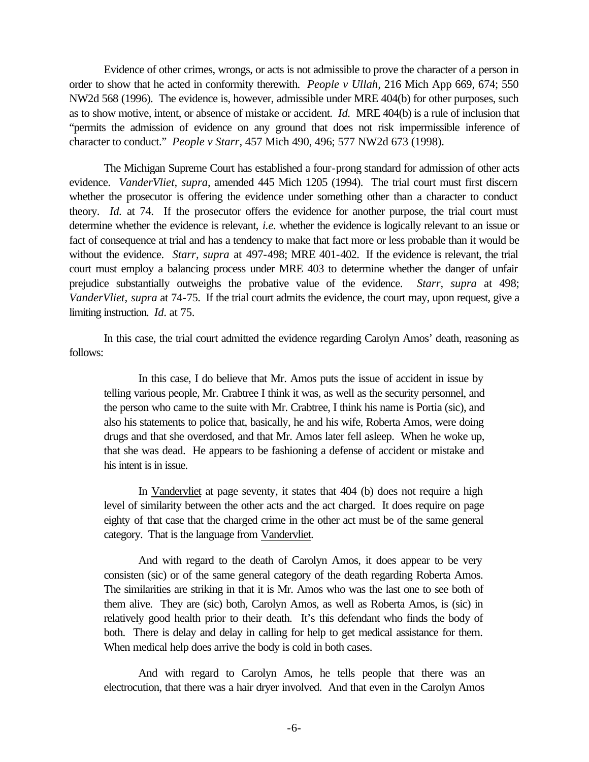Evidence of other crimes, wrongs, or acts is not admissible to prove the character of a person in order to show that he acted in conformity therewith. *People v Ullah,* 216 Mich App 669, 674; 550 NW2d 568 (1996). The evidence is, however, admissible under MRE 404(b) for other purposes, such as to show motive, intent, or absence of mistake or accident. *Id.* MRE 404(b) is a rule of inclusion that "permits the admission of evidence on any ground that does not risk impermissible inference of character to conduct." *People v Starr,* 457 Mich 490, 496; 577 NW2d 673 (1998).

The Michigan Supreme Court has established a four-prong standard for admission of other acts evidence. *VanderVliet, supra*, amended 445 Mich 1205 (1994). The trial court must first discern whether the prosecutor is offering the evidence under something other than a character to conduct theory. *Id.* at 74. If the prosecutor offers the evidence for another purpose, the trial court must determine whether the evidence is relevant, *i.e.* whether the evidence is logically relevant to an issue or fact of consequence at trial and has a tendency to make that fact more or less probable than it would be without the evidence. *Starr, supra* at 497-498; MRE 401-402. If the evidence is relevant, the trial court must employ a balancing process under MRE 403 to determine whether the danger of unfair prejudice substantially outweighs the probative value of the evidence. *Starr, supra* at 498; *VanderVliet, supra* at 74-75. If the trial court admits the evidence, the court may, upon request, give a limiting instruction. *Id*. at 75.

In this case, the trial court admitted the evidence regarding Carolyn Amos' death, reasoning as follows:

In this case, I do believe that Mr. Amos puts the issue of accident in issue by telling various people, Mr. Crabtree I think it was, as well as the security personnel, and the person who came to the suite with Mr. Crabtree, I think his name is Portia (sic), and also his statements to police that, basically, he and his wife, Roberta Amos, were doing drugs and that she overdosed, and that Mr. Amos later fell asleep. When he woke up, that she was dead. He appears to be fashioning a defense of accident or mistake and his intent is in issue.

In Vandervliet at page seventy, it states that 404 (b) does not require a high level of similarity between the other acts and the act charged. It does require on page eighty of that case that the charged crime in the other act must be of the same general category. That is the language from Vandervliet.

And with regard to the death of Carolyn Amos, it does appear to be very consisten (sic) or of the same general category of the death regarding Roberta Amos. The similarities are striking in that it is Mr. Amos who was the last one to see both of them alive. They are (sic) both, Carolyn Amos, as well as Roberta Amos, is (sic) in relatively good health prior to their death. It's this defendant who finds the body of both. There is delay and delay in calling for help to get medical assistance for them. When medical help does arrive the body is cold in both cases.

And with regard to Carolyn Amos, he tells people that there was an electrocution, that there was a hair dryer involved. And that even in the Carolyn Amos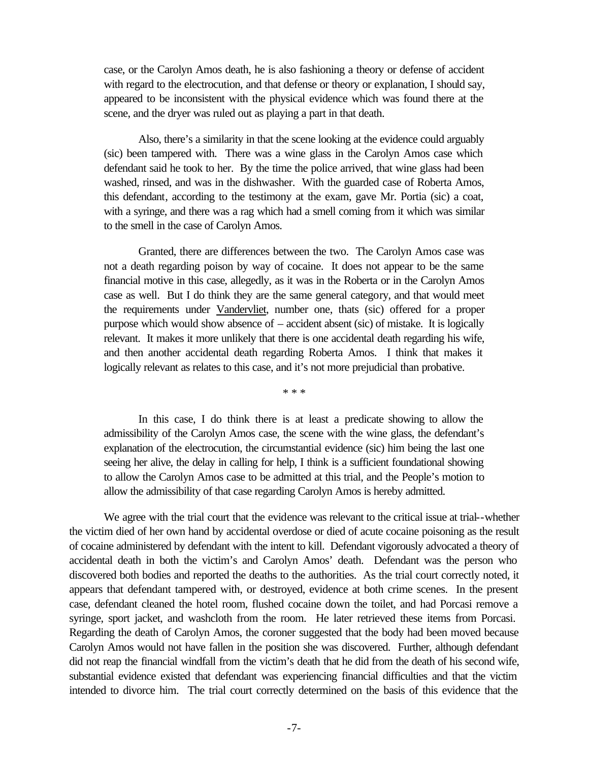case, or the Carolyn Amos death, he is also fashioning a theory or defense of accident with regard to the electrocution, and that defense or theory or explanation, I should say, appeared to be inconsistent with the physical evidence which was found there at the scene, and the dryer was ruled out as playing a part in that death.

Also, there's a similarity in that the scene looking at the evidence could arguably (sic) been tampered with. There was a wine glass in the Carolyn Amos case which defendant said he took to her. By the time the police arrived, that wine glass had been washed, rinsed, and was in the dishwasher. With the guarded case of Roberta Amos, this defendant, according to the testimony at the exam, gave Mr. Portia (sic) a coat, with a syringe, and there was a rag which had a smell coming from it which was similar to the smell in the case of Carolyn Amos.

Granted, there are differences between the two. The Carolyn Amos case was not a death regarding poison by way of cocaine. It does not appear to be the same financial motive in this case, allegedly, as it was in the Roberta or in the Carolyn Amos case as well. But I do think they are the same general category, and that would meet the requirements under Vandervliet, number one, thats (sic) offered for a proper purpose which would show absence of – accident absent (sic) of mistake. It is logically relevant. It makes it more unlikely that there is one accidental death regarding his wife, and then another accidental death regarding Roberta Amos. I think that makes it logically relevant as relates to this case, and it's not more prejudicial than probative.

\* \* \*

In this case, I do think there is at least a predicate showing to allow the admissibility of the Carolyn Amos case, the scene with the wine glass, the defendant's explanation of the electrocution, the circumstantial evidence (sic) him being the last one seeing her alive, the delay in calling for help, I think is a sufficient foundational showing to allow the Carolyn Amos case to be admitted at this trial, and the People's motion to allow the admissibility of that case regarding Carolyn Amos is hereby admitted.

We agree with the trial court that the evidence was relevant to the critical issue at trial--whether the victim died of her own hand by accidental overdose or died of acute cocaine poisoning as the result of cocaine administered by defendant with the intent to kill. Defendant vigorously advocated a theory of accidental death in both the victim's and Carolyn Amos' death. Defendant was the person who discovered both bodies and reported the deaths to the authorities. As the trial court correctly noted, it appears that defendant tampered with, or destroyed, evidence at both crime scenes. In the present case, defendant cleaned the hotel room, flushed cocaine down the toilet, and had Porcasi remove a syringe, sport jacket, and washcloth from the room. He later retrieved these items from Porcasi. Regarding the death of Carolyn Amos, the coroner suggested that the body had been moved because Carolyn Amos would not have fallen in the position she was discovered. Further, although defendant did not reap the financial windfall from the victim's death that he did from the death of his second wife, substantial evidence existed that defendant was experiencing financial difficulties and that the victim intended to divorce him. The trial court correctly determined on the basis of this evidence that the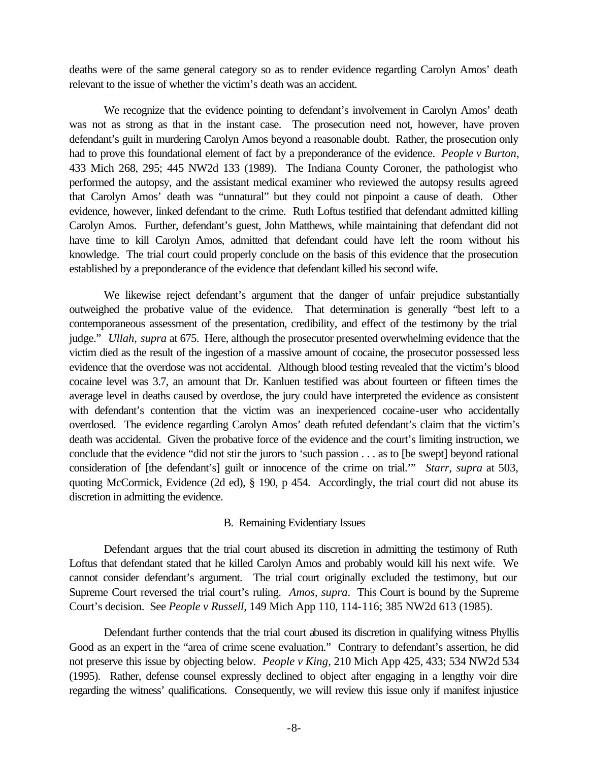deaths were of the same general category so as to render evidence regarding Carolyn Amos' death relevant to the issue of whether the victim's death was an accident.

We recognize that the evidence pointing to defendant's involvement in Carolyn Amos' death was not as strong as that in the instant case. The prosecution need not, however, have proven defendant's guilt in murdering Carolyn Amos beyond a reasonable doubt. Rather, the prosecution only had to prove this foundational element of fact by a preponderance of the evidence. *People v Burton,*  433 Mich 268, 295; 445 NW2d 133 (1989). The Indiana County Coroner, the pathologist who performed the autopsy, and the assistant medical examiner who reviewed the autopsy results agreed that Carolyn Amos' death was "unnatural" but they could not pinpoint a cause of death. Other evidence, however, linked defendant to the crime. Ruth Loftus testified that defendant admitted killing Carolyn Amos. Further, defendant's guest, John Matthews, while maintaining that defendant did not have time to kill Carolyn Amos, admitted that defendant could have left the room without his knowledge. The trial court could properly conclude on the basis of this evidence that the prosecution established by a preponderance of the evidence that defendant killed his second wife.

We likewise reject defendant's argument that the danger of unfair prejudice substantially outweighed the probative value of the evidence. That determination is generally "best left to a contemporaneous assessment of the presentation, credibility, and effect of the testimony by the trial judge." *Ullah, supra* at 675. Here, although the prosecutor presented overwhelming evidence that the victim died as the result of the ingestion of a massive amount of cocaine, the prosecutor possessed less evidence that the overdose was not accidental. Although blood testing revealed that the victim's blood cocaine level was 3.7, an amount that Dr. Kanluen testified was about fourteen or fifteen times the average level in deaths caused by overdose, the jury could have interpreted the evidence as consistent with defendant's contention that the victim was an inexperienced cocaine-user who accidentally overdosed. The evidence regarding Carolyn Amos' death refuted defendant's claim that the victim's death was accidental. Given the probative force of the evidence and the court's limiting instruction, we conclude that the evidence "did not stir the jurors to 'such passion . . . as to [be swept] beyond rational consideration of [the defendant's] guilt or innocence of the crime on trial.'" *Starr, supra* at 503, quoting McCormick, Evidence (2d ed), § 190, p 454. Accordingly, the trial court did not abuse its discretion in admitting the evidence.

### B. Remaining Evidentiary Issues

Defendant argues that the trial court abused its discretion in admitting the testimony of Ruth Loftus that defendant stated that he killed Carolyn Amos and probably would kill his next wife. We cannot consider defendant's argument. The trial court originally excluded the testimony, but our Supreme Court reversed the trial court's ruling. *Amos, supra*. This Court is bound by the Supreme Court's decision. See *People v Russell,* 149 Mich App 110, 114-116; 385 NW2d 613 (1985).

Defendant further contends that the trial court abused its discretion in qualifying witness Phyllis Good as an expert in the "area of crime scene evaluation." Contrary to defendant's assertion, he did not preserve this issue by objecting below. *People v King,* 210 Mich App 425, 433; 534 NW2d 534 (1995). Rather, defense counsel expressly declined to object after engaging in a lengthy voir dire regarding the witness' qualifications. Consequently, we will review this issue only if manifest injustice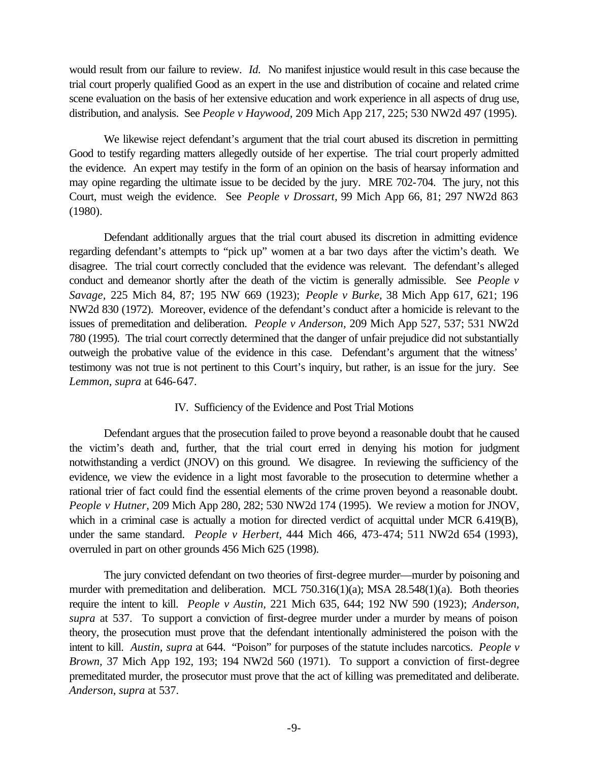would result from our failure to review. *Id.* No manifest injustice would result in this case because the trial court properly qualified Good as an expert in the use and distribution of cocaine and related crime scene evaluation on the basis of her extensive education and work experience in all aspects of drug use, distribution, and analysis. See *People v Haywood,* 209 Mich App 217, 225; 530 NW2d 497 (1995).

We likewise reject defendant's argument that the trial court abused its discretion in permitting Good to testify regarding matters allegedly outside of her expertise. The trial court properly admitted the evidence. An expert may testify in the form of an opinion on the basis of hearsay information and may opine regarding the ultimate issue to be decided by the jury. MRE 702-704. The jury, not this Court, must weigh the evidence. See *People v Drossart,* 99 Mich App 66, 81; 297 NW2d 863 (1980).

Defendant additionally argues that the trial court abused its discretion in admitting evidence regarding defendant's attempts to "pick up" women at a bar two days after the victim's death. We disagree. The trial court correctly concluded that the evidence was relevant. The defendant's alleged conduct and demeanor shortly after the death of the victim is generally admissible. See *People v Savage,* 225 Mich 84, 87; 195 NW 669 (1923); *People v Burke,* 38 Mich App 617, 621; 196 NW2d 830 (1972). Moreover, evidence of the defendant's conduct after a homicide is relevant to the issues of premeditation and deliberation. *People v Anderson,* 209 Mich App 527, 537; 531 NW2d 780 (1995). The trial court correctly determined that the danger of unfair prejudice did not substantially outweigh the probative value of the evidence in this case. Defendant's argument that the witness' testimony was not true is not pertinent to this Court's inquiry, but rather, is an issue for the jury. See *Lemmon, supra* at 646-647.

## IV. Sufficiency of the Evidence and Post Trial Motions

Defendant argues that the prosecution failed to prove beyond a reasonable doubt that he caused the victim's death and, further, that the trial court erred in denying his motion for judgment notwithstanding a verdict (JNOV) on this ground. We disagree. In reviewing the sufficiency of the evidence, we view the evidence in a light most favorable to the prosecution to determine whether a rational trier of fact could find the essential elements of the crime proven beyond a reasonable doubt. *People v Hutner,* 209 Mich App 280, 282; 530 NW2d 174 (1995). We review a motion for JNOV, which in a criminal case is actually a motion for directed verdict of acquittal under MCR 6.419(B), under the same standard. *People v Herbert,* 444 Mich 466, 473-474; 511 NW2d 654 (1993), overruled in part on other grounds 456 Mich 625 (1998).

The jury convicted defendant on two theories of first-degree murder—murder by poisoning and murder with premeditation and deliberation. MCL 750.316(1)(a); MSA 28.548(1)(a). Both theories require the intent to kill. *People v Austin,* 221 Mich 635, 644; 192 NW 590 (1923); *Anderson, supra* at 537. To support a conviction of first-degree murder under a murder by means of poison theory, the prosecution must prove that the defendant intentionally administered the poison with the intent to kill. *Austin, supra* at 644. "Poison" for purposes of the statute includes narcotics. *People v Brown,* 37 Mich App 192, 193; 194 NW2d 560 (1971). To support a conviction of first-degree premeditated murder, the prosecutor must prove that the act of killing was premeditated and deliberate. *Anderson, supra* at 537.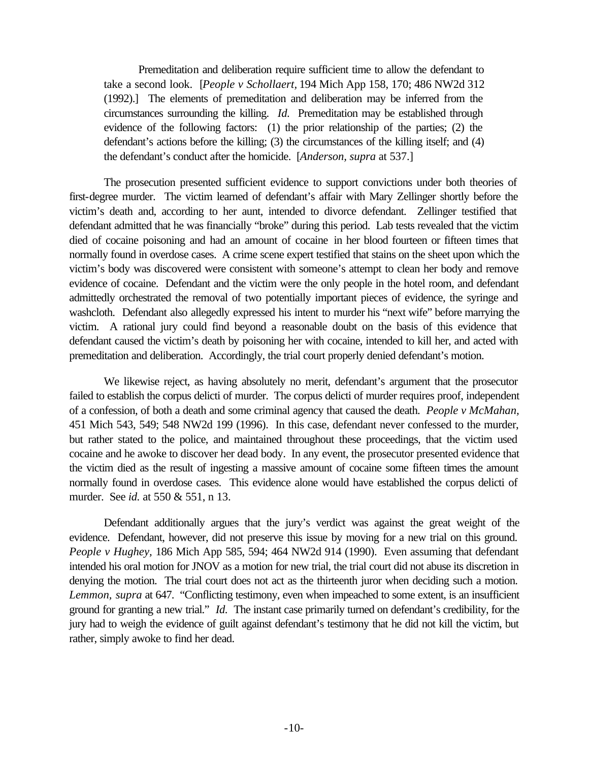Premeditation and deliberation require sufficient time to allow the defendant to take a second look. [*People v Schollaert,* 194 Mich App 158, 170; 486 NW2d 312 (1992).] The elements of premeditation and deliberation may be inferred from the circumstances surrounding the killing. *Id.* Premeditation may be established through evidence of the following factors: (1) the prior relationship of the parties; (2) the defendant's actions before the killing; (3) the circumstances of the killing itself; and (4) the defendant's conduct after the homicide. [*Anderson, supra* at 537.]

The prosecution presented sufficient evidence to support convictions under both theories of first-degree murder. The victim learned of defendant's affair with Mary Zellinger shortly before the victim's death and, according to her aunt, intended to divorce defendant. Zellinger testified that defendant admitted that he was financially "broke" during this period. Lab tests revealed that the victim died of cocaine poisoning and had an amount of cocaine in her blood fourteen or fifteen times that normally found in overdose cases. A crime scene expert testified that stains on the sheet upon which the victim's body was discovered were consistent with someone's attempt to clean her body and remove evidence of cocaine. Defendant and the victim were the only people in the hotel room, and defendant admittedly orchestrated the removal of two potentially important pieces of evidence, the syringe and washcloth. Defendant also allegedly expressed his intent to murder his "next wife" before marrying the victim. A rational jury could find beyond a reasonable doubt on the basis of this evidence that defendant caused the victim's death by poisoning her with cocaine, intended to kill her, and acted with premeditation and deliberation. Accordingly, the trial court properly denied defendant's motion.

We likewise reject, as having absolutely no merit, defendant's argument that the prosecutor failed to establish the corpus delicti of murder. The corpus delicti of murder requires proof, independent of a confession, of both a death and some criminal agency that caused the death. *People v McMahan,*  451 Mich 543, 549; 548 NW2d 199 (1996). In this case, defendant never confessed to the murder, but rather stated to the police, and maintained throughout these proceedings, that the victim used cocaine and he awoke to discover her dead body. In any event, the prosecutor presented evidence that the victim died as the result of ingesting a massive amount of cocaine some fifteen times the amount normally found in overdose cases. This evidence alone would have established the corpus delicti of murder. See *id.* at 550 & 551, n 13.

Defendant additionally argues that the jury's verdict was against the great weight of the evidence. Defendant, however, did not preserve this issue by moving for a new trial on this ground. *People v Hughey,* 186 Mich App 585, 594; 464 NW2d 914 (1990). Even assuming that defendant intended his oral motion for JNOV as a motion for new trial, the trial court did not abuse its discretion in denying the motion. The trial court does not act as the thirteenth juror when deciding such a motion. *Lemmon, supra* at 647. "Conflicting testimony, even when impeached to some extent, is an insufficient ground for granting a new trial." *Id.* The instant case primarily turned on defendant's credibility, for the jury had to weigh the evidence of guilt against defendant's testimony that he did not kill the victim, but rather, simply awoke to find her dead.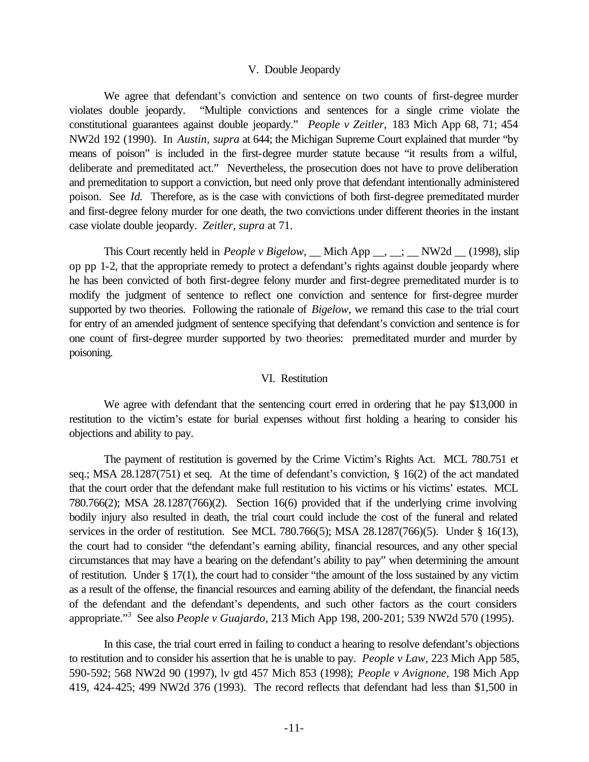#### V. Double Jeopardy

We agree that defendant's conviction and sentence on two counts of first-degree murder violates double jeopardy. "Multiple convictions and sentences for a single crime violate the constitutional guarantees against double jeopardy." *People v Zeitler,* 183 Mich App 68, 71; 454 NW2d 192 (1990). In *Austin, supra* at 644; the Michigan Supreme Court explained that murder "by means of poison" is included in the first-degree murder statute because "it results from a wilful, deliberate and premeditated act." Nevertheless, the prosecution does not have to prove deliberation and premeditation to support a conviction, but need only prove that defendant intentionally administered poison. See *Id.* Therefore, as is the case with convictions of both first-degree premeditated murder and first-degree felony murder for one death, the two convictions under different theories in the instant case violate double jeopardy. *Zeitler, supra* at 71.

This Court recently held in *People v Bigelow*, Mich App <sub>\_\_</sub>, \_\_; \_\_ NW2d \_\_ (1998), slip op pp 1-2, that the appropriate remedy to protect a defendant's rights against double jeopardy where he has been convicted of both first-degree felony murder and first-degree premeditated murder is to modify the judgment of sentence to reflect one conviction and sentence for first-degree murder supported by two theories. Following the rationale of *Bigelow,* we remand this case to the trial court for entry of an amended judgment of sentence specifying that defendant's conviction and sentence is for one count of first-degree murder supported by two theories: premeditated murder and murder by poisoning.

#### VI. Restitution

We agree with defendant that the sentencing court erred in ordering that he pay \$13,000 in restitution to the victim's estate for burial expenses without first holding a hearing to consider his objections and ability to pay.

The payment of restitution is governed by the Crime Victim's Rights Act. MCL 780.751 et seq.; MSA 28.1287(751) et seq. At the time of defendant's conviction, § 16(2) of the act mandated that the court order that the defendant make full restitution to his victims or his victims' estates. MCL 780.766(2); MSA 28.1287(766)(2). Section 16(6) provided that if the underlying crime involving bodily injury also resulted in death, the trial court could include the cost of the funeral and related services in the order of restitution. See MCL 780.766(5); MSA 28.1287(766)(5). Under § 16(13), the court had to consider "the defendant's earning ability, financial resources, and any other special circumstances that may have a bearing on the defendant's ability to pay" when determining the amount of restitution. Under § 17(1), the court had to consider "the amount of the loss sustained by any victim as a result of the offense, the financial resources and earning ability of the defendant, the financial needs of the defendant and the defendant's dependents, and such other factors as the court considers appropriate."3 See also *People v Guajardo,* 213 Mich App 198, 200-201; 539 NW2d 570 (1995).

In this case, the trial court erred in failing to conduct a hearing to resolve defendant's objections to restitution and to consider his assertion that he is unable to pay. *People v Law,* 223 Mich App 585, 590-592; 568 NW2d 90 (1997), lv gtd 457 Mich 853 (1998); *People v Avignone,* 198 Mich App 419, 424-425; 499 NW2d 376 (1993). The record reflects that defendant had less than \$1,500 in